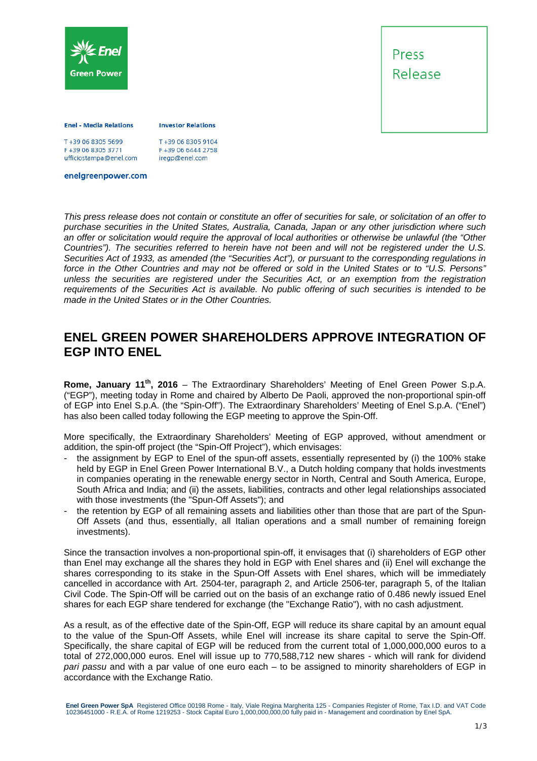



#### **Enel - Media Relations**

**Investor Relations** 

F+39 06 8305 3771 ufficiostampa@enel.com T+39 06 8305 9104 F+39 06 6444 2758 iregp@enel.com

enelgreenpower.com

*This press release does not contain or constitute an offer of securities for sale, or solicitation of an offer to purchase securities in the United States, Australia, Canada, Japan or any other jurisdiction where such an offer or solicitation would require the approval of local authorities or otherwise be unlawful (the "Other Countries"). The securities referred to herein have not been and will not be registered under the U.S. Securities Act of 1933, as amended (the "Securities Act"), or pursuant to the corresponding regulations in force in the Other Countries and may not be offered or sold in the United States or to "U.S. Persons" unless the securities are registered under the Securities Act, or an exemption from the registration requirements of the Securities Act is available. No public offering of such securities is intended to be made in the United States or in the Other Countries.* 

# **ENEL GREEN POWER SHAREHOLDERS APPROVE INTEGRATION OF EGP INTO ENEL**

**Rome, January 11th, 2016** – The Extraordinary Shareholders' Meeting of Enel Green Power S.p.A. ("EGP"), meeting today in Rome and chaired by Alberto De Paoli, approved the non-proportional spin-off of EGP into Enel S.p.A. (the "Spin-Off"). The Extraordinary Shareholders' Meeting of Enel S.p.A. ("Enel") has also been called today following the EGP meeting to approve the Spin-Off.

More specifically, the Extraordinary Shareholders' Meeting of EGP approved, without amendment or addition, the spin-off project (the "Spin-Off Project"), which envisages:

- the assignment by EGP to Enel of the spun-off assets, essentially represented by (i) the 100% stake held by EGP in Enel Green Power International B.V., a Dutch holding company that holds investments in companies operating in the renewable energy sector in North, Central and South America, Europe, South Africa and India; and (ii) the assets, liabilities, contracts and other legal relationships associated with those investments (the "Spun-Off Assets"); and
- the retention by EGP of all remaining assets and liabilities other than those that are part of the Spun-Off Assets (and thus, essentially, all Italian operations and a small number of remaining foreign investments).

Since the transaction involves a non-proportional spin-off, it envisages that (i) shareholders of EGP other than Enel may exchange all the shares they hold in EGP with Enel shares and (ii) Enel will exchange the shares corresponding to its stake in the Spun-Off Assets with Enel shares, which will be immediately cancelled in accordance with Art. 2504-ter, paragraph 2, and Article 2506-ter, paragraph 5, of the Italian Civil Code. The Spin-Off will be carried out on the basis of an exchange ratio of 0.486 newly issued Enel shares for each EGP share tendered for exchange (the "Exchange Ratio"), with no cash adjustment.

As a result, as of the effective date of the Spin-Off, EGP will reduce its share capital by an amount equal to the value of the Spun-Off Assets, while Enel will increase its share capital to serve the Spin-Off. Specifically, the share capital of EGP will be reduced from the current total of 1,000,000,000 euros to a total of 272,000,000 euros. Enel will issue up to 770,588,712 new shares - which will rank for dividend *pari passu* and with a par value of one euro each – to be assigned to minority shareholders of EGP in accordance with the Exchange Ratio.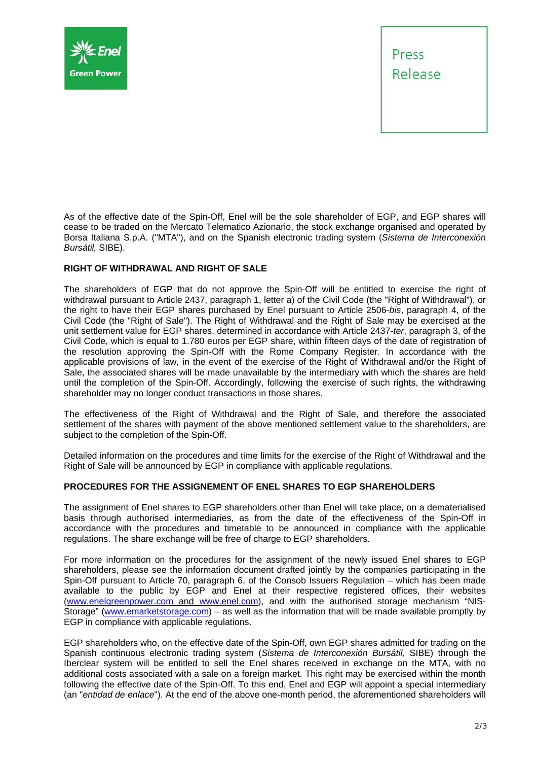

Press Release

As of the effective date of the Spin-Off, Enel will be the sole shareholder of EGP, and EGP shares will cease to be traded on the Mercato Telematico Azionario, the stock exchange organised and operated by Borsa Italiana S.p.A. ("MTA"), and on the Spanish electronic trading system (*Sistema de Interconexión Bursátil,* SIBE).

## **RIGHT OF WITHDRAWAL AND RIGHT OF SALE**

The shareholders of EGP that do not approve the Spin-Off will be entitled to exercise the right of withdrawal pursuant to Article 2437, paragraph 1, letter a) of the Civil Code (the "Right of Withdrawal"), or the right to have their EGP shares purchased by Enel pursuant to Article 2506-*bis*, paragraph 4, of the Civil Code (the "Right of Sale"). The Right of Withdrawal and the Right of Sale may be exercised at the unit settlement value for EGP shares, determined in accordance with Article 2437-*ter*, paragraph 3, of the Civil Code, which is equal to 1.780 euros per EGP share, within fifteen days of the date of registration of the resolution approving the Spin-Off with the Rome Company Register. In accordance with the applicable provisions of law, in the event of the exercise of the Right of Withdrawal and/or the Right of Sale, the associated shares will be made unavailable by the intermediary with which the shares are held until the completion of the Spin-Off. Accordingly, following the exercise of such rights, the withdrawing shareholder may no longer conduct transactions in those shares.

The effectiveness of the Right of Withdrawal and the Right of Sale, and therefore the associated settlement of the shares with payment of the above mentioned settlement value to the shareholders, are subject to the completion of the Spin-Off.

Detailed information on the procedures and time limits for the exercise of the Right of Withdrawal and the Right of Sale will be announced by EGP in compliance with applicable regulations.

### **PROCEDURES FOR THE ASSIGNEMENT OF ENEL SHARES TO EGP SHAREHOLDERS**

The assignment of Enel shares to EGP shareholders other than Enel will take place, on a dematerialised basis through authorised intermediaries, as from the date of the effectiveness of the Spin-Off in accordance with the procedures and timetable to be announced in compliance with the applicable regulations. The share exchange will be free of charge to EGP shareholders.

For more information on the procedures for the assignment of the newly issued Enel shares to EGP shareholders, please see the information document drafted jointly by the companies participating in the Spin-Off pursuant to Article 70, paragraph 6, of the Consob Issuers Regulation – which has been made available to the public by EGP and Enel at their respective registered offices, their websites (www.enelgreenpower.com and www.enel.com), and with the authorised storage mechanism "NIS-Storage" (www.emarketstorage.com) – as well as the information that will be made available promptly by EGP in compliance with applicable regulations.

EGP shareholders who, on the effective date of the Spin-Off, own EGP shares admitted for trading on the Spanish continuous electronic trading system (*Sistema de Interconexión Bursátil,* SIBE) through the Iberclear system will be entitled to sell the Enel shares received in exchange on the MTA, with no additional costs associated with a sale on a foreign market. This right may be exercised within the month following the effective date of the Spin-Off. To this end, Enel and EGP will appoint a special intermediary (an "*entidad de enlace*"). At the end of the above one-month period, the aforementioned shareholders will